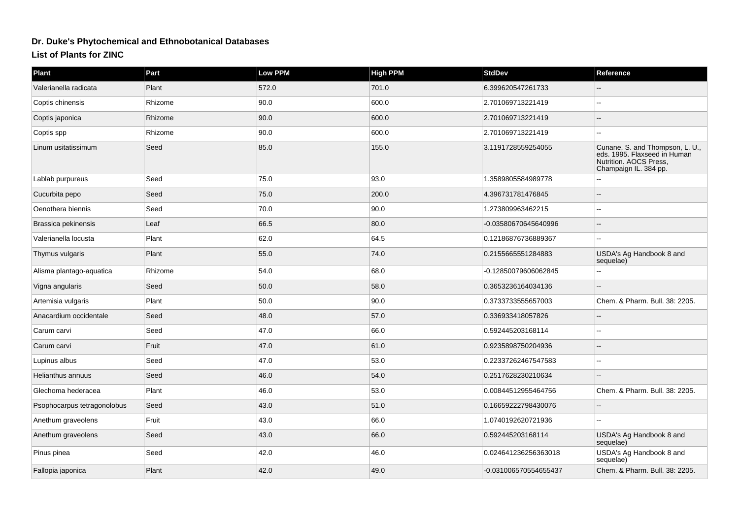## **Dr. Duke's Phytochemical and Ethnobotanical Databases**

**List of Plants for ZINC**

| Plant                       | Part    | <b>Low PPM</b> | <b>High PPM</b> | <b>StdDev</b>         | Reference                                                                                                       |
|-----------------------------|---------|----------------|-----------------|-----------------------|-----------------------------------------------------------------------------------------------------------------|
| Valerianella radicata       | Plant   | 572.0          | 701.0           | 6.399620547261733     |                                                                                                                 |
| Coptis chinensis            | Rhizome | 90.0           | 600.0           | 2.701069713221419     |                                                                                                                 |
| Coptis japonica             | Rhizome | 90.0           | 600.0           | 2.701069713221419     |                                                                                                                 |
| Coptis spp                  | Rhizome | 90.0           | 600.0           | 2.701069713221419     |                                                                                                                 |
| Linum usitatissimum         | Seed    | 85.0           | 155.0           | 3.1191728559254055    | Cunane, S. and Thompson, L. U., eds. 1995. Flaxseed in Human<br>Nutrition. AOCS Press,<br>Champaign IL. 384 pp. |
| Lablab purpureus            | Seed    | 75.0           | 93.0            | 1.3589805584989778    |                                                                                                                 |
| Cucurbita pepo              | Seed    | 75.0           | 200.0           | 4.396731781476845     |                                                                                                                 |
| Oenothera biennis           | Seed    | 70.0           | 90.0            | 1.273809963462215     | $\sim$                                                                                                          |
| Brassica pekinensis         | Leaf    | 66.5           | 80.0            | -0.03580670645640996  | ä.                                                                                                              |
| Valerianella locusta        | Plant   | 62.0           | 64.5            | 0.12186876736889367   |                                                                                                                 |
| Thymus vulgaris             | Plant   | 55.0           | 74.0            | 0.2155665551284883    | USDA's Ag Handbook 8 and<br>sequelae)                                                                           |
| Alisma plantago-aquatica    | Rhizome | 54.0           | 68.0            | -0.12850079606062845  | $-$                                                                                                             |
| Vigna angularis             | Seed    | 50.0           | 58.0            | 0.3653236164034136    |                                                                                                                 |
| Artemisia vulgaris          | Plant   | 50.0           | 90.0            | 0.3733733555657003    | Chem. & Pharm. Bull. 38: 2205.                                                                                  |
| Anacardium occidentale      | Seed    | 48.0           | 57.0            | 0.336933418057826     |                                                                                                                 |
| Carum carvi                 | Seed    | 47.0           | 66.0            | 0.592445203168114     |                                                                                                                 |
| Carum carvi                 | Fruit   | 47.0           | 61.0            | 0.9235898750204936    |                                                                                                                 |
| Lupinus albus               | Seed    | 47.0           | 53.0            | 0.22337262467547583   |                                                                                                                 |
| Helianthus annuus           | Seed    | 46.0           | 54.0            | 0.2517628230210634    |                                                                                                                 |
| Glechoma hederacea          | Plant   | 46.0           | 53.0            | 0.00844512955464756   | Chem. & Pharm. Bull. 38: 2205.                                                                                  |
| Psophocarpus tetragonolobus | Seed    | 43.0           | 51.0            | 0.16659222798430076   |                                                                                                                 |
| Anethum graveolens          | Fruit   | 43.0           | 66.0            | 1.0740192620721936    | $\sim$                                                                                                          |
| Anethum graveolens          | Seed    | 43.0           | 66.0            | 0.592445203168114     | USDA's Ag Handbook 8 and<br>sequelae)                                                                           |
| Pinus pinea                 | Seed    | 42.0           | 46.0            | 0.024641236256363018  | USDA's Ag Handbook 8 and<br>sequelae)                                                                           |
| Fallopia japonica           | Plant   | 42.0           | 49.0            | -0.031006570554655437 | Chem. & Pharm. Bull. 38: 2205.                                                                                  |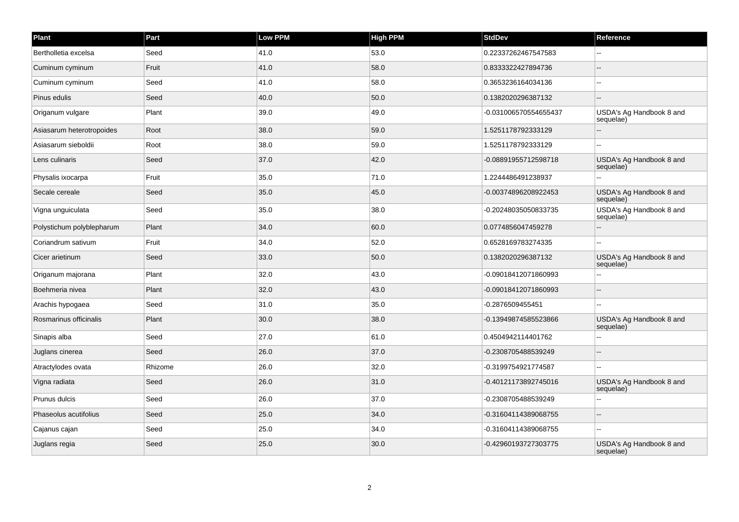| Plant                     | Part    | <b>Low PPM</b> | High PPM | <b>StdDev</b>         | Reference                             |
|---------------------------|---------|----------------|----------|-----------------------|---------------------------------------|
| Bertholletia excelsa      | Seed    | 41.0           | 53.0     | 0.22337262467547583   |                                       |
| Cuminum cyminum           | Fruit   | 41.0           | 58.0     | 0.8333322427894736    | $\overline{\phantom{a}}$              |
| Cuminum cyminum           | Seed    | 41.0           | 58.0     | 0.3653236164034136    | $\sim$                                |
| Pinus edulis              | Seed    | 40.0           | 50.0     | 0.1382020296387132    |                                       |
| Origanum vulgare          | Plant   | 39.0           | 49.0     | -0.031006570554655437 | USDA's Ag Handbook 8 and<br>sequelae) |
| Asiasarum heterotropoides | Root    | 38.0           | 59.0     | 1.5251178792333129    |                                       |
| Asiasarum sieboldii       | Root    | 38.0           | 59.0     | 1.5251178792333129    | $\sim$ $\sim$                         |
| Lens culinaris            | Seed    | 37.0           | 42.0     | -0.08891955712598718  | USDA's Ag Handbook 8 and<br>sequelae) |
| Physalis ixocarpa         | Fruit   | 35.0           | 71.0     | 1.2244486491238937    | $\overline{a}$                        |
| Secale cereale            | Seed    | 35.0           | 45.0     | -0.00374896208922453  | USDA's Ag Handbook 8 and<br>sequelae) |
| Vigna unguiculata         | Seed    | 35.0           | 38.0     | -0.20248035050833735  | USDA's Ag Handbook 8 and<br>sequelae) |
| Polystichum polyblepharum | Plant   | 34.0           | 60.0     | 0.0774856047459278    |                                       |
| Coriandrum sativum        | Fruit   | 34.0           | 52.0     | 0.6528169783274335    |                                       |
| Cicer arietinum           | Seed    | 33.0           | 50.0     | 0.1382020296387132    | USDA's Ag Handbook 8 and<br>sequelae) |
| Origanum majorana         | Plant   | 32.0           | 43.0     | -0.09018412071860993  | $\overline{a}$                        |
| Boehmeria nivea           | Plant   | 32.0           | 43.0     | -0.09018412071860993  |                                       |
| Arachis hypogaea          | Seed    | 31.0           | 35.0     | -0.2876509455451      | $\sim$                                |
| Rosmarinus officinalis    | Plant   | 30.0           | 38.0     | -0.13949874585523866  | USDA's Ag Handbook 8 and<br>sequelae) |
| Sinapis alba              | Seed    | 27.0           | 61.0     | 0.4504942114401762    | $\overline{a}$                        |
| Juglans cinerea           | Seed    | 26.0           | 37.0     | -0.2308705488539249   |                                       |
| Atractylodes ovata        | Rhizome | 26.0           | 32.0     | -0.3199754921774587   | $\sim$                                |
| Vigna radiata             | Seed    | 26.0           | 31.0     | -0.40121173892745016  | USDA's Ag Handbook 8 and<br>sequelae) |
| Prunus dulcis             | Seed    | 26.0           | 37.0     | -0.2308705488539249   |                                       |
| Phaseolus acutifolius     | Seed    | 25.0           | 34.0     | -0.31604114389068755  | $\sim$                                |
| Cajanus cajan             | Seed    | 25.0           | 34.0     | -0.31604114389068755  | $\overline{a}$                        |
| Juglans regia             | Seed    | 25.0           | 30.0     | -0.42960193727303775  | USDA's Ag Handbook 8 and<br>sequelae) |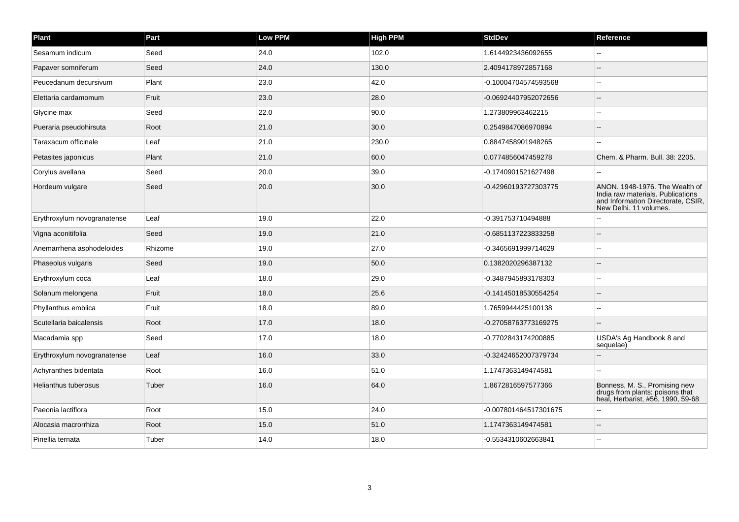| Plant                       | Part    | Low PPM | <b>High PPM</b> | <b>StdDev</b>         | Reference                                                                                                                           |
|-----------------------------|---------|---------|-----------------|-----------------------|-------------------------------------------------------------------------------------------------------------------------------------|
| Sesamum indicum             | Seed    | 24.0    | 102.0           | 1.6144923436092655    |                                                                                                                                     |
| Papaver somniferum          | Seed    | 24.0    | 130.0           | 2.4094178972857168    |                                                                                                                                     |
| Peucedanum decursivum       | Plant   | 23.0    | 42.0            | -0.10004704574593568  |                                                                                                                                     |
| Elettaria cardamomum        | Fruit   | 23.0    | 28.0            | -0.06924407952072656  |                                                                                                                                     |
| Glycine max                 | Seed    | 22.0    | 90.0            | 1.273809963462215     |                                                                                                                                     |
| Pueraria pseudohirsuta      | Root    | 21.0    | 30.0            | 0.2549847086970894    |                                                                                                                                     |
| Taraxacum officinale        | Leaf    | 21.0    | 230.0           | 0.8847458901948265    |                                                                                                                                     |
| Petasites japonicus         | Plant   | 21.0    | 60.0            | 0.0774856047459278    | Chem. & Pharm. Bull. 38: 2205.                                                                                                      |
| Corylus avellana            | Seed    | 20.0    | 39.0            | -0.1740901521627498   |                                                                                                                                     |
| Hordeum vulgare             | Seed    | 20.0    | 30.0            | -0.42960193727303775  | ANON. 1948-1976. The Wealth of<br>India raw materials. Publications<br>and Information Directorate, CSIR,<br>New Delhi. 11 volumes. |
| Erythroxylum novogranatense | Leaf    | 19.0    | 22.0            | -0.391753710494888    |                                                                                                                                     |
| Vigna aconitifolia          | Seed    | 19.0    | 21.0            | -0.6851137223833258   |                                                                                                                                     |
| Anemarrhena asphodeloides   | Rhizome | 19.0    | 27.0            | -0.3465691999714629   |                                                                                                                                     |
| Phaseolus vulgaris          | Seed    | 19.0    | 50.0            | 0.1382020296387132    |                                                                                                                                     |
| Erythroxylum coca           | Leaf    | 18.0    | 29.0            | -0.3487945893178303   |                                                                                                                                     |
| Solanum melongena           | Fruit   | 18.0    | 25.6            | -0.14145018530554254  |                                                                                                                                     |
| Phyllanthus emblica         | Fruit   | 18.0    | 89.0            | 1.7659944425100138    |                                                                                                                                     |
| Scutellaria baicalensis     | Root    | 17.0    | 18.0            | -0.27058763773169275  |                                                                                                                                     |
| Macadamia spp               | Seed    | 17.0    | 18.0            | -0.7702843174200885   | USDA's Ag Handbook 8 and<br>sequelae)                                                                                               |
| Erythroxylum novogranatense | Leaf    | 16.0    | 33.0            | -0.32424652007379734  |                                                                                                                                     |
| Achyranthes bidentata       | Root    | 16.0    | 51.0            | 1.1747363149474581    |                                                                                                                                     |
| <b>Helianthus tuberosus</b> | Tuber   | 16.0    | 64.0            | 1.8672816597577366    | Bonness, M. S., Promising new<br>drugs from plants: poisons that<br>heal, Herbarist, #56, 1990, 59-68                               |
| Paeonia lactiflora          | Root    | 15.0    | 24.0            | -0.007801464517301675 |                                                                                                                                     |
| Alocasia macrorrhiza        | Root    | 15.0    | 51.0            | 1.1747363149474581    |                                                                                                                                     |
| Pinellia ternata            | Tuber   | 14.0    | 18.0            | -0.5534310602663841   |                                                                                                                                     |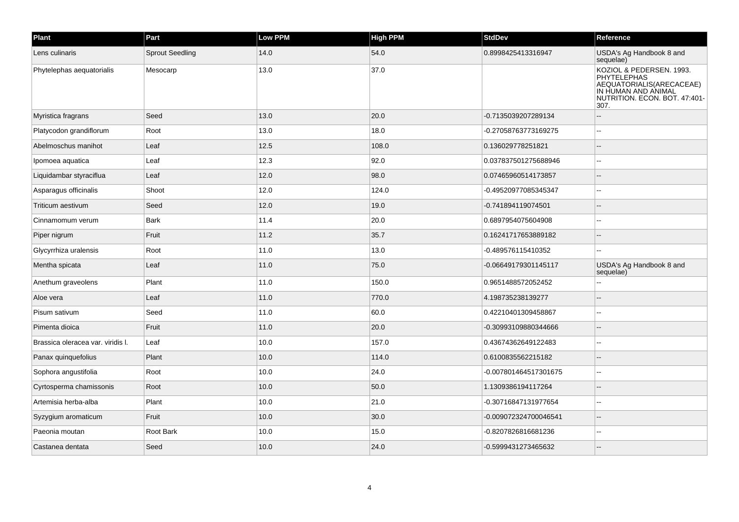| Plant                             | Part                   | Low PPM | <b>High PPM</b> | <b>StdDev</b>         | Reference                                                                                                                                   |
|-----------------------------------|------------------------|---------|-----------------|-----------------------|---------------------------------------------------------------------------------------------------------------------------------------------|
| Lens culinaris                    | <b>Sprout Seedling</b> | 14.0    | 54.0            | 0.8998425413316947    | USDA's Ag Handbook 8 and<br>sequelae)                                                                                                       |
| Phytelephas aequatorialis         | Mesocarp               | 13.0    | 37.0            |                       | KOZIOL & PEDERSEN. 1993.<br><b>PHYTELEPHAS</b><br>AEQUATORIALIS (ARECACEAE)<br>IN HUMAN AND ANIMAL<br>NUTRITION. ECON. BOT. 47:401-<br>307. |
| Myristica fragrans                | Seed                   | 13.0    | 20.0            | -0.7135039207289134   |                                                                                                                                             |
| Platycodon grandiflorum           | Root                   | 13.0    | 18.0            | -0.27058763773169275  |                                                                                                                                             |
| Abelmoschus manihot               | Leaf                   | 12.5    | 108.0           | 0.136029778251821     |                                                                                                                                             |
| Ipomoea aquatica                  | Leaf                   | 12.3    | 92.0            | 0.037837501275688946  |                                                                                                                                             |
| Liquidambar styraciflua           | Leaf                   | 12.0    | 98.0            | 0.07465960514173857   |                                                                                                                                             |
| Asparagus officinalis             | Shoot                  | 12.0    | 124.0           | -0.49520977085345347  |                                                                                                                                             |
| Triticum aestivum                 | Seed                   | 12.0    | 19.0            | -0.741894119074501    |                                                                                                                                             |
| Cinnamomum verum                  | Bark                   | 11.4    | 20.0            | 0.6897954075604908    |                                                                                                                                             |
| Piper nigrum                      | Fruit                  | 11.2    | 35.7            | 0.16241717653889182   |                                                                                                                                             |
| Glycyrrhiza uralensis             | Root                   | 11.0    | 13.0            | -0.489576115410352    | $\overline{a}$                                                                                                                              |
| Mentha spicata                    | Leaf                   | 11.0    | 75.0            | -0.06649179301145117  | USDA's Ag Handbook 8 and<br>sequelae)                                                                                                       |
| Anethum graveolens                | Plant                  | 11.0    | 150.0           | 0.9651488572052452    |                                                                                                                                             |
| Aloe vera                         | Leaf                   | 11.0    | 770.0           | 4.198735238139277     |                                                                                                                                             |
| Pisum sativum                     | Seed                   | 11.0    | 60.0            | 0.42210401309458867   |                                                                                                                                             |
| Pimenta dioica                    | Fruit                  | 11.0    | 20.0            | -0.30993109880344666  |                                                                                                                                             |
| Brassica oleracea var. viridis I. | Leaf                   | 10.0    | 157.0           | 0.43674362649122483   |                                                                                                                                             |
| Panax quinquefolius               | Plant                  | 10.0    | 114.0           | 0.6100835562215182    |                                                                                                                                             |
| Sophora angustifolia              | Root                   | 10.0    | 24.0            | -0.007801464517301675 | ۵.                                                                                                                                          |
| Cyrtosperma chamissonis           | Root                   | 10.0    | 50.0            | 1.1309386194117264    |                                                                                                                                             |
| Artemisia herba-alba              | Plant                  | 10.0    | 21.0            | -0.30716847131977654  |                                                                                                                                             |
| Syzygium aromaticum               | Fruit                  | 10.0    | 30.0            | -0.009072324700046541 |                                                                                                                                             |
| Paeonia moutan                    | Root Bark              | 10.0    | 15.0            | -0.8207826816681236   |                                                                                                                                             |
| Castanea dentata                  | Seed                   | 10.0    | 24.0            | -0.5999431273465632   |                                                                                                                                             |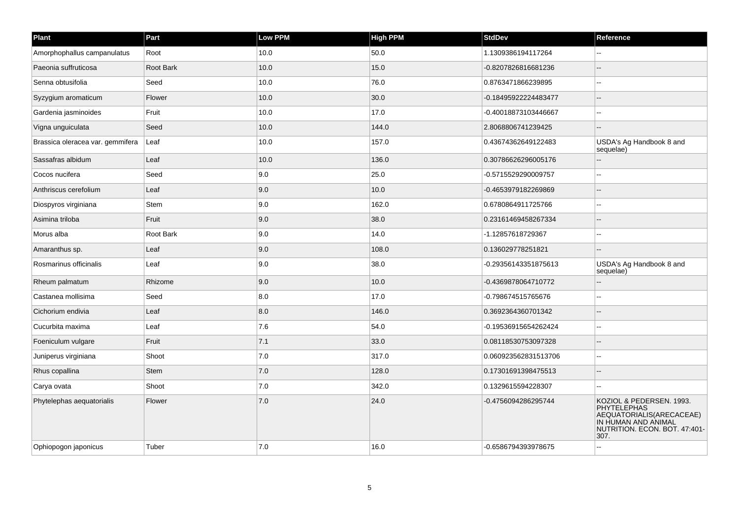| Plant                            | Part        | <b>Low PPM</b> | <b>High PPM</b> | <b>StdDev</b>        | Reference                                                                                                                           |
|----------------------------------|-------------|----------------|-----------------|----------------------|-------------------------------------------------------------------------------------------------------------------------------------|
| Amorphophallus campanulatus      | Root        | 10.0           | 50.0            | 1.1309386194117264   |                                                                                                                                     |
| Paeonia suffruticosa             | Root Bark   | 10.0           | 15.0            | -0.8207826816681236  | $\sim$ $\sim$                                                                                                                       |
| Senna obtusifolia                | Seed        | 10.0           | 76.0            | 0.8763471866239895   |                                                                                                                                     |
| Syzygium aromaticum              | Flower      | 10.0           | 30.0            | -0.18495922224483477 |                                                                                                                                     |
| Gardenia jasminoides             | Fruit       | 10.0           | 17.0            | -0.40018873103446667 | $\sim$ $\sim$                                                                                                                       |
| Vigna unguiculata                | Seed        | 10.0           | 144.0           | 2.8068806741239425   |                                                                                                                                     |
| Brassica oleracea var. gemmifera | Leaf        | 10.0           | 157.0           | 0.43674362649122483  | USDA's Ag Handbook 8 and<br>sequelae)                                                                                               |
| Sassafras albidum                | Leaf        | 10.0           | 136.0           | 0.30786626296005176  | ä.                                                                                                                                  |
| Cocos nucifera                   | Seed        | 9.0            | 25.0            | -0.5715529290009757  |                                                                                                                                     |
| Anthriscus cerefolium            | Leaf        | 9.0            | 10.0            | -0.4653979182269869  | $\sim$                                                                                                                              |
| Diospyros virginiana             | Stem        | 9.0            | 162.0           | 0.6780864911725766   | L.                                                                                                                                  |
| Asimina triloba                  | Fruit       | 9.0            | 38.0            | 0.23161469458267334  | $\sim$                                                                                                                              |
| Morus alba                       | Root Bark   | 9.0            | 14.0            | -1.12857618729367    |                                                                                                                                     |
| Amaranthus sp.                   | Leaf        | 9.0            | 108.0           | 0.136029778251821    | l --                                                                                                                                |
| Rosmarinus officinalis           | Leaf        | 9.0            | 38.0            | -0.29356143351875613 | USDA's Ag Handbook 8 and<br>sequelae)                                                                                               |
| Rheum palmatum                   | Rhizome     | 9.0            | 10.0            | -0.4369878064710772  | $\sim$                                                                                                                              |
| Castanea mollisima               | Seed        | 8.0            | 17.0            | -0.798674515765676   |                                                                                                                                     |
| Cichorium endivia                | Leaf        | 8.0            | 146.0           | 0.3692364360701342   | $\overline{\phantom{a}}$                                                                                                            |
| Cucurbita maxima                 | Leaf        | 7.6            | 54.0            | -0.19536915654262424 | $\overline{a}$                                                                                                                      |
| Foeniculum vulgare               | Fruit       | 7.1            | 33.0            | 0.08118530753097328  |                                                                                                                                     |
| Juniperus virginiana             | Shoot       | 7.0            | 317.0           | 0.060923562831513706 | Ξ.                                                                                                                                  |
| Rhus copallina                   | <b>Stem</b> | 7.0            | 128.0           | 0.17301691398475513  | $\sim$                                                                                                                              |
| Carya ovata                      | Shoot       | 7.0            | 342.0           | 0.1329615594228307   | $\sim$                                                                                                                              |
| Phytelephas aequatorialis        | Flower      | 7.0            | 24.0            | -0.4756094286295744  | KOZIOL & PEDERSEN. 1993.<br>PHYTELEPHAS<br>AEQUATORIALIS(ARECACEAE)<br>IN HUMAN AND ANIMAL<br>NUTRITION. ECON. BOT. 47:401-<br>307. |
| Ophiopogon japonicus             | Tuber       | 7.0            | 16.0            | -0.6586794393978675  |                                                                                                                                     |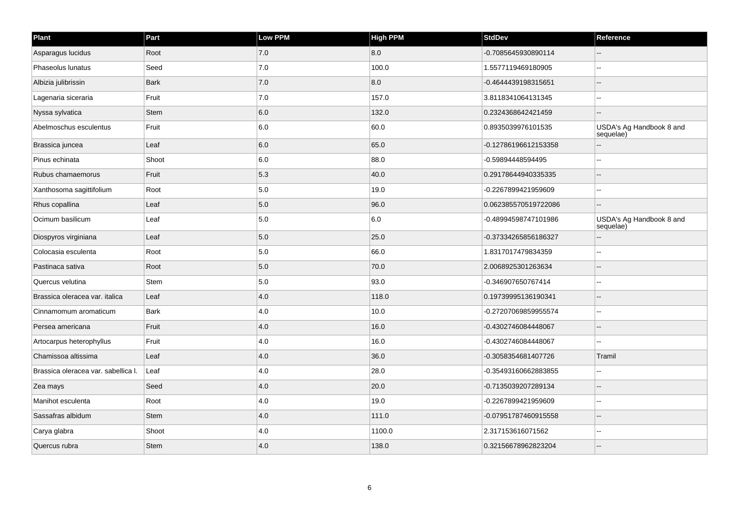| Plant                               | Part        | Low PPM | <b>High PPM</b> | <b>StdDev</b>        | Reference                             |
|-------------------------------------|-------------|---------|-----------------|----------------------|---------------------------------------|
| Asparagus lucidus                   | Root        | 7.0     | 8.0             | -0.7085645930890114  |                                       |
| Phaseolus lunatus                   | Seed        | 7.0     | 100.0           | 1.5577119469180905   | ۵.                                    |
| Albizia julibrissin                 | <b>Bark</b> | 7.0     | 8.0             | -0.4644439198315651  |                                       |
| Lagenaria siceraria                 | Fruit       | 7.0     | 157.0           | 3.8118341064131345   |                                       |
| Nyssa sylvatica                     | <b>Stem</b> | 6.0     | 132.0           | 0.2324368642421459   |                                       |
| Abelmoschus esculentus              | Fruit       | 6.0     | 60.0            | 0.8935039976101535   | USDA's Ag Handbook 8 and<br>sequelae) |
| Brassica juncea                     | Leaf        | 6.0     | 65.0            | -0.12786196612153358 |                                       |
| Pinus echinata                      | Shoot       | 6.0     | 88.0            | -0.59894448594495    |                                       |
| Rubus chamaemorus                   | Fruit       | 5.3     | 40.0            | 0.29178644940335335  |                                       |
| Xanthosoma sagittifolium            | Root        | 5.0     | 19.0            | -0.2267899421959609  |                                       |
| Rhus copallina                      | Leaf        | 5.0     | 96.0            | 0.062385570519722086 |                                       |
| Ocimum basilicum                    | Leaf        | 5.0     | 6.0             | -0.48994598747101986 | USDA's Ag Handbook 8 and<br>sequelae) |
| Diospyros virginiana                | Leaf        | 5.0     | 25.0            | -0.37334265856186327 |                                       |
| Colocasia esculenta                 | Root        | 5.0     | 66.0            | 1.8317017479834359   |                                       |
| Pastinaca sativa                    | Root        | 5.0     | 70.0            | 2.0068925301263634   |                                       |
| Quercus velutina                    | Stem        | 5.0     | 93.0            | -0.346907650767414   |                                       |
| Brassica oleracea var. italica      | Leaf        | 4.0     | 118.0           | 0.19739995136190341  |                                       |
| Cinnamomum aromaticum               | <b>Bark</b> | 4.0     | 10.0            | -0.27207069859955574 | $\sim$                                |
| Persea americana                    | Fruit       | 4.0     | 16.0            | -0.4302746084448067  |                                       |
| Artocarpus heterophyllus            | Fruit       | 4.0     | 16.0            | -0.4302746084448067  |                                       |
| Chamissoa altissima                 | Leaf        | 4.0     | 36.0            | -0.3058354681407726  | Tramil                                |
| Brassica oleracea var. sabellica I. | Leaf        | 4.0     | 28.0            | -0.35493160662883855 |                                       |
| Zea mays                            | Seed        | 4.0     | 20.0            | -0.7135039207289134  |                                       |
| Manihot esculenta                   | Root        | 4.0     | 19.0            | -0.2267899421959609  |                                       |
| Sassafras albidum                   | <b>Stem</b> | 4.0     | 111.0           | -0.07951787460915558 |                                       |
| Carya glabra                        | Shoot       | 4.0     | 1100.0          | 2.317153616071562    |                                       |
| Quercus rubra                       | <b>Stem</b> | 4.0     | 138.0           | 0.32156678962823204  |                                       |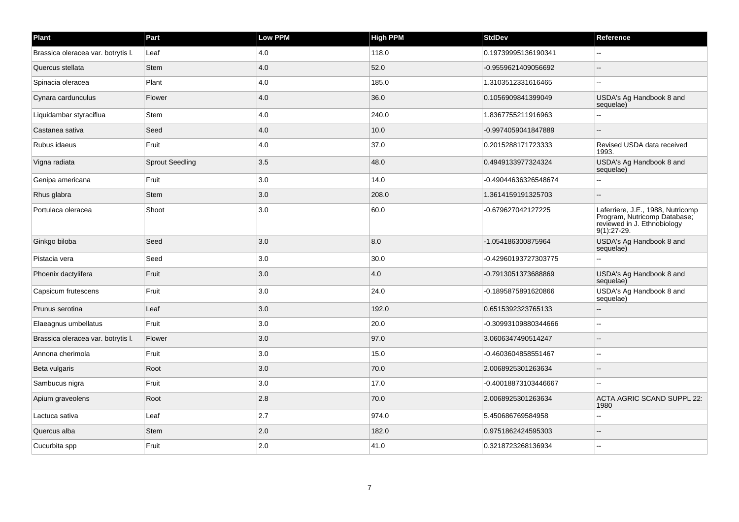| Plant                              | Part                   | <b>Low PPM</b> | <b>High PPM</b> | <b>StdDev</b>        | Reference                                                                                                         |
|------------------------------------|------------------------|----------------|-----------------|----------------------|-------------------------------------------------------------------------------------------------------------------|
| Brassica oleracea var. botrytis I. | Leaf                   | 4.0            | 118.0           | 0.19739995136190341  |                                                                                                                   |
| Quercus stellata                   | <b>Stem</b>            | 4.0            | 52.0            | -0.9559621409056692  | $\sim$ $\sim$                                                                                                     |
| Spinacia oleracea                  | Plant                  | 4.0            | 185.0           | 1.3103512331616465   | $\sim$                                                                                                            |
| Cynara cardunculus                 | Flower                 | 4.0            | 36.0            | 0.1056909841399049   | USDA's Ag Handbook 8 and<br>sequelae)                                                                             |
| Liquidambar styraciflua            | Stem                   | 4.0            | 240.0           | 1.8367755211916963   |                                                                                                                   |
| Castanea sativa                    | Seed                   | 4.0            | 10.0            | -0.9974059041847889  | $\sim$                                                                                                            |
| Rubus idaeus                       | Fruit                  | 4.0            | 37.0            | 0.2015288171723333   | Revised USDA data received<br>1993.                                                                               |
| Vigna radiata                      | <b>Sprout Seedling</b> | 3.5            | 48.0            | 0.4949133977324324   | USDA's Ag Handbook 8 and<br>sequelae)                                                                             |
| Genipa americana                   | Fruit                  | 3.0            | 14.0            | -0.49044636326548674 |                                                                                                                   |
| Rhus glabra                        | <b>Stem</b>            | 3.0            | 208.0           | 1.3614159191325703   | ٠.                                                                                                                |
| Portulaca oleracea                 | Shoot                  | 3.0            | 60.0            | -0.679627042127225   | Laferriere, J.E., 1988, Nutricomp<br>Program, Nutricomp Database,<br>reviewed in J. Ethnobiology<br>$9(1):27-29.$ |
| Ginkgo biloba                      | Seed                   | 3.0            | 8.0             | -1.054186300875964   | USDA's Ag Handbook 8 and<br>sequelae)                                                                             |
| Pistacia vera                      | Seed                   | 3.0            | 30.0            | -0.42960193727303775 | $\overline{a}$                                                                                                    |
| Phoenix dactylifera                | Fruit                  | 3.0            | 4.0             | -0.7913051373688869  | USDA's Ag Handbook 8 and<br>sequelae)                                                                             |
| Capsicum frutescens                | Fruit                  | 3.0            | 24.0            | -0.1895875891620866  | USDA's Ag Handbook 8 and<br>sequelae)                                                                             |
| Prunus serotina                    | Leaf                   | 3.0            | 192.0           | 0.6515392323765133   |                                                                                                                   |
| Elaeagnus umbellatus               | Fruit                  | 3.0            | 20.0            | -0.30993109880344666 | ä.                                                                                                                |
| Brassica oleracea var. botrytis I. | Flower                 | 3.0            | 97.0            | 3.0606347490514247   | $\sim$                                                                                                            |
| Annona cherimola                   | Fruit                  | 3.0            | 15.0            | -0.4603604858551467  |                                                                                                                   |
| Beta vulgaris                      | Root                   | 3.0            | 70.0            | 2.0068925301263634   |                                                                                                                   |
| Sambucus nigra                     | Fruit                  | 3.0            | 17.0            | -0.40018873103446667 | $\overline{a}$                                                                                                    |
| Apium graveolens                   | Root                   | 2.8            | 70.0            | 2.0068925301263634   | <b>ACTA AGRIC SCAND SUPPL 22:</b><br>1980                                                                         |
| Lactuca sativa                     | Leaf                   | 2.7            | 974.0           | 5.450686769584958    |                                                                                                                   |
| Quercus alba                       | Stem                   | 2.0            | 182.0           | 0.9751862424595303   | $\overline{\phantom{a}}$                                                                                          |
| Cucurbita spp                      | Fruit                  | 2.0            | 41.0            | 0.3218723268136934   |                                                                                                                   |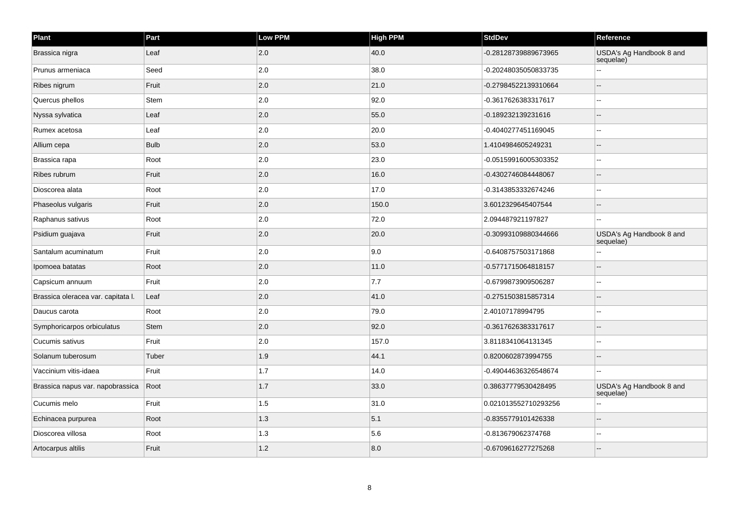| Plant                              | Part        | Low PPM | <b>High PPM</b> | <b>StdDev</b>        | Reference                             |
|------------------------------------|-------------|---------|-----------------|----------------------|---------------------------------------|
| Brassica nigra                     | Leaf        | 2.0     | 40.0            | -0.28128739889673965 | USDA's Ag Handbook 8 and<br>sequelae) |
| Prunus armeniaca                   | Seed        | 2.0     | 38.0            | -0.20248035050833735 |                                       |
| Ribes nigrum                       | Fruit       | 2.0     | 21.0            | -0.27984522139310664 |                                       |
| Quercus phellos                    | <b>Stem</b> | 2.0     | 92.0            | -0.3617626383317617  |                                       |
| Nyssa sylvatica                    | Leaf        | 2.0     | 55.0            | -0.189232139231616   |                                       |
| Rumex acetosa                      | Leaf        | 2.0     | 20.0            | -0.4040277451169045  |                                       |
| Allium cepa                        | <b>Bulb</b> | 2.0     | 53.0            | 1.4104984605249231   |                                       |
| Brassica rapa                      | Root        | 2.0     | 23.0            | -0.05159916005303352 |                                       |
| Ribes rubrum                       | Fruit       | 2.0     | 16.0            | -0.4302746084448067  | --                                    |
| Dioscorea alata                    | Root        | 2.0     | 17.0            | -0.3143853332674246  |                                       |
| Phaseolus vulgaris                 | Fruit       | 2.0     | 150.0           | 3.6012329645407544   |                                       |
| Raphanus sativus                   | Root        | 2.0     | 72.0            | 2.094487921197827    |                                       |
| Psidium guajava                    | Fruit       | 2.0     | 20.0            | -0.30993109880344666 | USDA's Ag Handbook 8 and<br>sequelae) |
| Santalum acuminatum                | Fruit       | 2.0     | 9.0             | -0.6408757503171868  |                                       |
| Ipomoea batatas                    | Root        | 2.0     | 11.0            | -0.5771715064818157  |                                       |
| Capsicum annuum                    | Fruit       | 2.0     | 7.7             | -0.6799873909506287  |                                       |
| Brassica oleracea var. capitata I. | Leaf        | 2.0     | 41.0            | -0.2751503815857314  |                                       |
| Daucus carota                      | Root        | 2.0     | 79.0            | 2.40107178994795     | --                                    |
| Symphoricarpos orbiculatus         | <b>Stem</b> | 2.0     | 92.0            | -0.3617626383317617  |                                       |
| Cucumis sativus                    | Fruit       | 2.0     | 157.0           | 3.8118341064131345   | $\overline{a}$                        |
| Solanum tuberosum                  | Tuber       | 1.9     | 44.1            | 0.8200602873994755   | --                                    |
| Vaccinium vitis-idaea              | Fruit       | 1.7     | 14.0            | -0.49044636326548674 | $\overline{a}$                        |
| Brassica napus var. napobrassica   | Root        | 1.7     | 33.0            | 0.38637779530428495  | USDA's Ag Handbook 8 and<br>sequelae) |
| Cucumis melo                       | Fruit       | 1.5     | 31.0            | 0.021013552710293256 |                                       |
| Echinacea purpurea                 | Root        | 1.3     | 5.1             | -0.8355779101426338  |                                       |
| Dioscorea villosa                  | Root        | 1.3     | 5.6             | -0.813679062374768   | $\overline{a}$                        |
| Artocarpus altilis                 | Fruit       | $1.2$   | 8.0             | -0.6709616277275268  |                                       |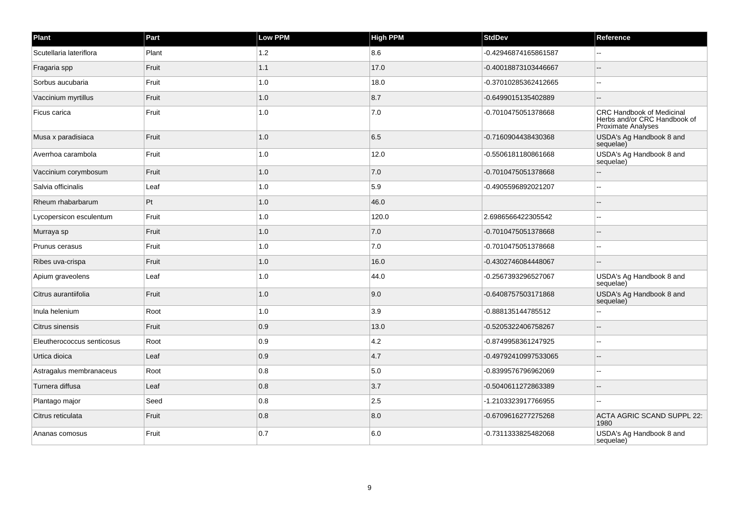| Plant                      | Part  | <b>Low PPM</b> | High PPM | <b>StdDev</b>        | Reference                                                                                     |
|----------------------------|-------|----------------|----------|----------------------|-----------------------------------------------------------------------------------------------|
| Scutellaria lateriflora    | Plant | 1.2            | 8.6      | -0.42946874165861587 |                                                                                               |
| Fragaria spp               | Fruit | 1.1            | 17.0     | -0.40018873103446667 | $\sim$                                                                                        |
| Sorbus aucubaria           | Fruit | $1.0\,$        | 18.0     | -0.37010285362412665 | $\overline{\phantom{a}}$                                                                      |
| Vaccinium myrtillus        | Fruit | $1.0$          | 8.7      | -0.6499015135402889  |                                                                                               |
| Ficus carica               | Fruit | 1.0            | 7.0      | -0.7010475051378668  | <b>CRC Handbook of Medicinal</b><br>Herbs and/or CRC Handbook of<br><b>Proximate Analyses</b> |
| Musa x paradisiaca         | Fruit | 1.0            | 6.5      | -0.7160904438430368  | USDA's Ag Handbook 8 and<br>sequelae)                                                         |
| Averrhoa carambola         | Fruit | 1.0            | 12.0     | -0.5506181180861668  | USDA's Ag Handbook 8 and<br>sequelae)                                                         |
| Vaccinium corymbosum       | Fruit | 1.0            | 7.0      | -0.7010475051378668  | $\sim$                                                                                        |
| Salvia officinalis         | Leaf  | 1.0            | 5.9      | -0.4905596892021207  |                                                                                               |
| Rheum rhabarbarum          | Pt    | $1.0$          | 46.0     |                      |                                                                                               |
| Lycopersicon esculentum    | Fruit | 1.0            | 120.0    | 2.6986566422305542   | $\sim$                                                                                        |
| Murraya sp                 | Fruit | 1.0            | 7.0      | -0.7010475051378668  | $\overline{\phantom{a}}$                                                                      |
| Prunus cerasus             | Fruit | 1.0            | 7.0      | -0.7010475051378668  |                                                                                               |
| Ribes uva-crispa           | Fruit | $1.0$          | 16.0     | -0.4302746084448067  |                                                                                               |
| Apium graveolens           | Leaf  | $1.0$          | 44.0     | -0.2567393296527067  | USDA's Ag Handbook 8 and<br>sequelae)                                                         |
| Citrus aurantiifolia       | Fruit | 1.0            | 9.0      | -0.6408757503171868  | USDA's Ag Handbook 8 and<br>sequelae)                                                         |
| Inula helenium             | Root  | 1.0            | 3.9      | -0.888135144785512   |                                                                                               |
| Citrus sinensis            | Fruit | 0.9            | 13.0     | -0.5205322406758267  |                                                                                               |
| Eleutherococcus senticosus | Root  | 0.9            | 4.2      | -0.8749958361247925  | $\sim$                                                                                        |
| Urtica dioica              | Leaf  | 0.9            | 4.7      | -0.49792410997533065 |                                                                                               |
| Astragalus membranaceus    | Root  | 0.8            | 5.0      | -0.8399576796962069  | Ξ.                                                                                            |
| Turnera diffusa            | Leaf  | 0.8            | 3.7      | -0.5040611272863389  |                                                                                               |
| Plantago major             | Seed  | 0.8            | 2.5      | -1.2103323917766955  | $\sim$ $\sim$                                                                                 |
| Citrus reticulata          | Fruit | 0.8            | 8.0      | -0.6709616277275268  | ACTA AGRIC SCAND SUPPL 22:<br>1980                                                            |
| Ananas comosus             | Fruit | 0.7            | 6.0      | -0.7311333825482068  | USDA's Ag Handbook 8 and<br>sequelae)                                                         |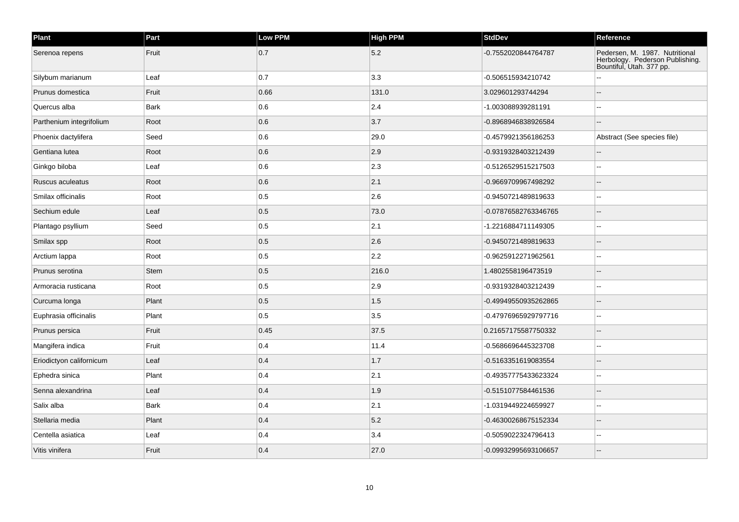| Plant                    | Part        | Low PPM | <b>High PPM</b> | <b>StdDev</b>        | Reference                                                                                     |
|--------------------------|-------------|---------|-----------------|----------------------|-----------------------------------------------------------------------------------------------|
| Serenoa repens           | Fruit       | 0.7     | 5.2             | -0.7552020844764787  | Pedersen, M. 1987. Nutritional<br>Herbology. Pederson Publishing.<br>Bountiful, Utah. 377 pp. |
| Silybum marianum         | Leaf        | 0.7     | 3.3             | -0.506515934210742   |                                                                                               |
| Prunus domestica         | Fruit       | 0.66    | 131.0           | 3.029601293744294    |                                                                                               |
| Quercus alba             | Bark        | 0.6     | 2.4             | -1.003088939281191   |                                                                                               |
| Parthenium integrifolium | Root        | 0.6     | 3.7             | -0.8968946838926584  |                                                                                               |
| Phoenix dactylifera      | Seed        | 0.6     | 29.0            | -0.4579921356186253  | Abstract (See species file)                                                                   |
| Gentiana lutea           | Root        | 0.6     | 2.9             | -0.9319328403212439  |                                                                                               |
| Ginkgo biloba            | Leaf        | 0.6     | $ 2.3\rangle$   | -0.5126529515217503  |                                                                                               |
| Ruscus aculeatus         | Root        | 0.6     | 2.1             | -0.9669709967498292  |                                                                                               |
| Smilax officinalis       | Root        | 0.5     | 2.6             | -0.9450721489819633  |                                                                                               |
| Sechium edule            | Leaf        | 0.5     | 73.0            | -0.07876582763346765 |                                                                                               |
| Plantago psyllium        | Seed        | 0.5     | 2.1             | -1.2216884711149305  | --                                                                                            |
| Smilax spp               | Root        | 0.5     | 2.6             | -0.9450721489819633  |                                                                                               |
| Arctium lappa            | Root        | 0.5     | 2.2             | -0.9625912271962561  |                                                                                               |
| Prunus serotina          | <b>Stem</b> | 0.5     | 216.0           | 1.4802558196473519   |                                                                                               |
| Armoracia rusticana      | Root        | 0.5     | 2.9             | -0.9319328403212439  | ۵.                                                                                            |
| Curcuma longa            | Plant       | 0.5     | 1.5             | -0.49949550935262865 |                                                                                               |
| Euphrasia officinalis    | Plant       | 0.5     | 3.5             | -0.47976965929797716 |                                                                                               |
| Prunus persica           | Fruit       | 0.45    | 37.5            | 0.21657175587750332  |                                                                                               |
| Mangifera indica         | Fruit       | 0.4     | 11.4            | -0.5686696445323708  |                                                                                               |
| Eriodictyon californicum | Leaf        | 0.4     | 1.7             | -0.5163351619083554  |                                                                                               |
| Ephedra sinica           | Plant       | 0.4     | 2.1             | -0.49357775433623324 |                                                                                               |
| Senna alexandrina        | Leaf        | 0.4     | 1.9             | -0.5151077584461536  |                                                                                               |
| Salix alba               | Bark        | 0.4     | 2.1             | -1.0319449224659927  |                                                                                               |
| Stellaria media          | Plant       | 0.4     | 5.2             | -0.46300268675152334 |                                                                                               |
| Centella asiatica        | Leaf        | 0.4     | 3.4             | -0.5059022324796413  |                                                                                               |
| Vitis vinifera           | Fruit       | 0.4     | 27.0            | -0.09932995693106657 |                                                                                               |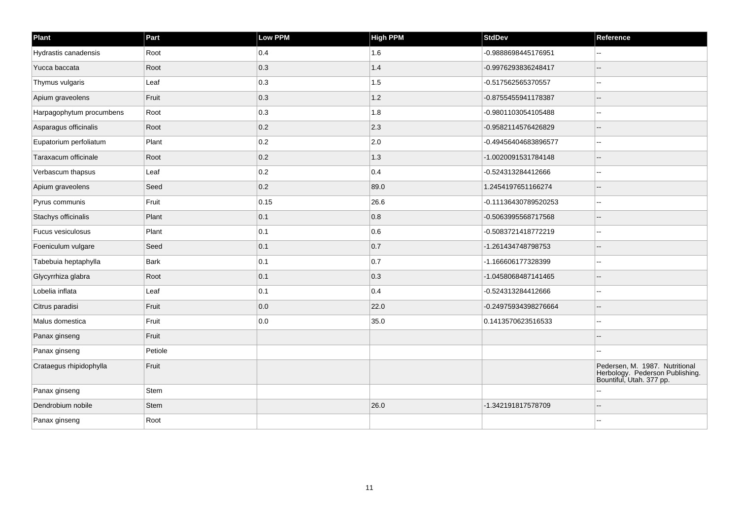| Plant                    | Part        | Low PPM | <b>High PPM</b> | <b>StdDev</b>        | Reference                                                                                     |
|--------------------------|-------------|---------|-----------------|----------------------|-----------------------------------------------------------------------------------------------|
| Hydrastis canadensis     | Root        | 0.4     | 1.6             | -0.9888698445176951  |                                                                                               |
| Yucca baccata            | Root        | 0.3     | 1.4             | -0.9976293836248417  |                                                                                               |
| Thymus vulgaris          | Leaf        | 0.3     | 1.5             | -0.517562565370557   |                                                                                               |
| Apium graveolens         | Fruit       | 0.3     | 1.2             | -0.8755455941178387  |                                                                                               |
| Harpagophytum procumbens | Root        | 0.3     | 1.8             | -0.9801103054105488  | $\overline{a}$                                                                                |
| Asparagus officinalis    | Root        | 0.2     | 2.3             | -0.9582114576426829  |                                                                                               |
| Eupatorium perfoliatum   | Plant       | 0.2     | 2.0             | -0.49456404683896577 |                                                                                               |
| Taraxacum officinale     | Root        | 0.2     | 1.3             | -1.0020091531784148  |                                                                                               |
| Verbascum thapsus        | Leaf        | 0.2     | 0.4             | -0.524313284412666   |                                                                                               |
| Apium graveolens         | Seed        | 0.2     | 89.0            | 1.2454197651166274   | $\overline{a}$                                                                                |
| Pyrus communis           | Fruit       | 0.15    | 26.6            | -0.11136430789520253 | ۰.                                                                                            |
| Stachys officinalis      | Plant       | 0.1     | 0.8             | -0.5063995568717568  |                                                                                               |
| Fucus vesiculosus        | Plant       | 0.1     | 0.6             | -0.5083721418772219  |                                                                                               |
| Foeniculum vulgare       | Seed        | 0.1     | 0.7             | -1.261434748798753   |                                                                                               |
| Tabebuia heptaphylla     | <b>Bark</b> | 0.1     | 0.7             | -1.166606177328399   | $\overline{\phantom{a}}$                                                                      |
| Glycyrrhiza glabra       | Root        | 0.1     | $\vert$ 0.3     | -1.0458068487141465  | --                                                                                            |
| Lobelia inflata          | Leaf        | 0.1     | 0.4             | -0.524313284412666   |                                                                                               |
| Citrus paradisi          | Fruit       | 0.0     | 22.0            | -0.24975934398276664 |                                                                                               |
| Malus domestica          | Fruit       | 0.0     | 35.0            | 0.1413570623516533   | $\overline{a}$                                                                                |
| Panax ginseng            | Fruit       |         |                 |                      |                                                                                               |
| Panax ginseng            | Petiole     |         |                 |                      |                                                                                               |
| Crataegus rhipidophylla  | Fruit       |         |                 |                      | Pedersen, M. 1987. Nutritional<br>Herbology. Pederson Publishing.<br>Bountiful, Utah. 377 pp. |
| Panax ginseng            | <b>Stem</b> |         |                 |                      |                                                                                               |
| Dendrobium nobile        | Stem        |         | 26.0            | -1.342191817578709   | $-$                                                                                           |
| Panax ginseng            | Root        |         |                 |                      |                                                                                               |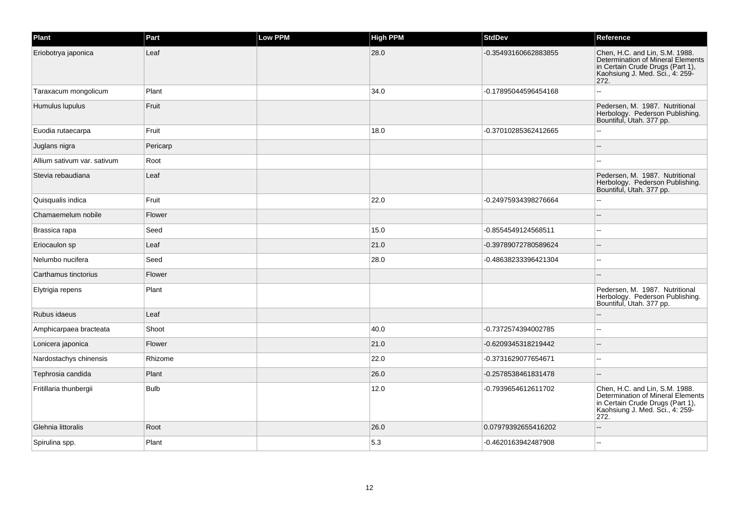| Plant                       | Part        | Low PPM | <b>High PPM</b> | <b>StdDev</b>        | Reference                                                                                                                                          |
|-----------------------------|-------------|---------|-----------------|----------------------|----------------------------------------------------------------------------------------------------------------------------------------------------|
| Eriobotrya japonica         | Leaf        |         | 28.0            | -0.35493160662883855 | Chen, H.C. and Lin, S.M. 1988.<br>Determination of Mineral Elements<br>in Certain Crude Drugs (Part 1),<br>Kaohsiung J. Med. Sci., 4: 259-<br>272. |
| Taraxacum mongolicum        | Plant       |         | 34.0            | -0.17895044596454168 |                                                                                                                                                    |
| Humulus lupulus             | Fruit       |         |                 |                      | Pedersen, M. 1987. Nutritional<br>Herbology. Pederson Publishing.<br>Bountiful, Utah. 377 pp.                                                      |
| Euodia rutaecarpa           | Fruit       |         | 18.0            | -0.37010285362412665 |                                                                                                                                                    |
| Juglans nigra               | Pericarp    |         |                 |                      |                                                                                                                                                    |
| Allium sativum var. sativum | Root        |         |                 |                      |                                                                                                                                                    |
| Stevia rebaudiana           | Leaf        |         |                 |                      | Pedersen, M. 1987. Nutritional<br>Herbology. Pederson Publishing.<br>Bountiful, Utah. 377 pp.                                                      |
| Quisqualis indica           | Fruit       |         | 22.0            | -0.24975934398276664 | --                                                                                                                                                 |
| Chamaemelum nobile          | Flower      |         |                 |                      |                                                                                                                                                    |
| Brassica rapa               | Seed        |         | 15.0            | -0.8554549124568511  | $\overline{a}$                                                                                                                                     |
| Eriocaulon sp               | Leaf        |         | 21.0            | -0.39789072780589624 |                                                                                                                                                    |
| Nelumbo nucifera            | Seed        |         | 28.0            | -0.48638233396421304 | $\overline{\phantom{a}}$                                                                                                                           |
| Carthamus tinctorius        | Flower      |         |                 |                      |                                                                                                                                                    |
| Elytrigia repens            | Plant       |         |                 |                      | Pedersen, M. 1987. Nutritional<br>Herbology. Pederson Publishing.<br>Bountiful, Utah. 377 pp.                                                      |
| Rubus idaeus                | Leaf        |         |                 |                      |                                                                                                                                                    |
| Amphicarpaea bracteata      | Shoot       |         | 40.0            | -0.7372574394002785  | --                                                                                                                                                 |
| Lonicera japonica           | Flower      |         | 21.0            | -0.6209345318219442  |                                                                                                                                                    |
| Nardostachys chinensis      | Rhizome     |         | 22.0            | -0.3731629077654671  |                                                                                                                                                    |
| Tephrosia candida           | Plant       |         | 26.0            | -0.2578538461831478  |                                                                                                                                                    |
| Fritillaria thunbergii      | <b>Bulb</b> |         | 12.0            | -0.7939654612611702  | Chen, H.C. and Lin, S.M. 1988.<br>Determination of Mineral Elements<br>in Certain Crude Drugs (Part 1),<br>Kaohsiung J. Med. Sci., 4: 259-<br>272. |
| Glehnia littoralis          | Root        |         | 26.0            | 0.07979392655416202  |                                                                                                                                                    |
| Spirulina spp.              | Plant       |         | 5.3             | -0.4620163942487908  |                                                                                                                                                    |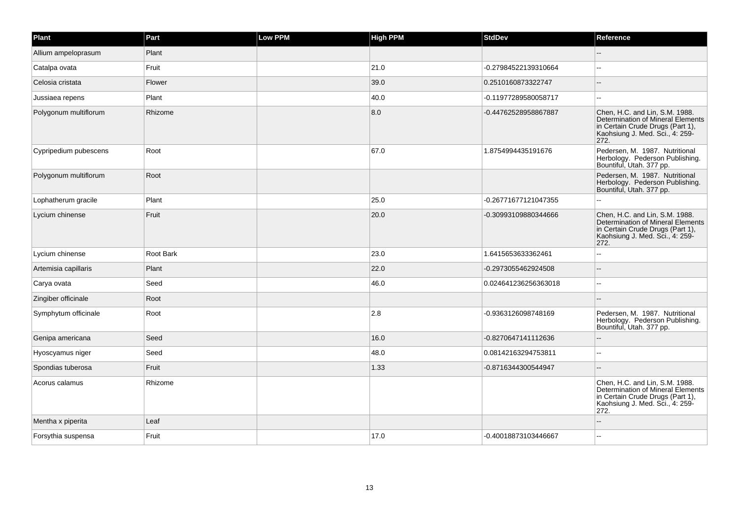| Plant                 | Part      | <b>Low PPM</b> | <b>High PPM</b> | <b>StdDev</b>        | Reference                                                                                                                                          |
|-----------------------|-----------|----------------|-----------------|----------------------|----------------------------------------------------------------------------------------------------------------------------------------------------|
| Allium ampeloprasum   | Plant     |                |                 |                      |                                                                                                                                                    |
| Catalpa ovata         | Fruit     |                | 21.0            | -0.27984522139310664 |                                                                                                                                                    |
| Celosia cristata      | Flower    |                | 39.0            | 0.2510160873322747   |                                                                                                                                                    |
| Jussiaea repens       | Plant     |                | 40.0            | -0.11977289580058717 | $\overline{a}$                                                                                                                                     |
| Polygonum multiflorum | Rhizome   |                | 8.0             | -0.44762528958867887 | Chen, H.C. and Lin, S.M. 1988.<br>Determination of Mineral Elements<br>in Certain Crude Drugs (Part 1),<br>Kaohsiung J. Med. Sci., 4: 259-<br>272. |
| Cypripedium pubescens | Root      |                | 67.0            | 1.8754994435191676   | Pedersen, M. 1987. Nutritional<br>Herbology. Pederson Publishing.<br>Bountiful, Utah. 377 pp.                                                      |
| Polygonum multiflorum | Root      |                |                 |                      | Pedersen, M. 1987. Nutritional<br>Herbology. Pederson Publishing.<br>Bountiful, Utah. 377 pp.                                                      |
| Lophatherum gracile   | Plant     |                | 25.0            | -0.26771677121047355 |                                                                                                                                                    |
| Lycium chinense       | Fruit     |                | 20.0            | -0.30993109880344666 | Chen, H.C. and Lin, S.M. 1988.<br>Determination of Mineral Elements<br>in Certain Crude Drugs (Part 1),<br>Kaohsiung J. Med. Sci., 4: 259-<br>272. |
| Lycium chinense       | Root Bark |                | 23.0            | 1.6415653633362461   |                                                                                                                                                    |
| Artemisia capillaris  | Plant     |                | 22.0            | -0.2973055462924508  |                                                                                                                                                    |
| Carya ovata           | Seed      |                | 46.0            | 0.024641236256363018 | $\sim$                                                                                                                                             |
| Zingiber officinale   | Root      |                |                 |                      |                                                                                                                                                    |
| Symphytum officinale  | Root      |                | 2.8             | -0.9363126098748169  | Pedersen, M. 1987. Nutritional<br>Herbology. Pederson Publishing.<br>Bountiful, Utah. 377 pp.                                                      |
| Genipa americana      | Seed      |                | 16.0            | -0.8270647141112636  |                                                                                                                                                    |
| Hyoscyamus niger      | Seed      |                | 48.0            | 0.08142163294753811  | $\overline{a}$                                                                                                                                     |
| Spondias tuberosa     | Fruit     |                | 1.33            | -0.8716344300544947  |                                                                                                                                                    |
| Acorus calamus        | Rhizome   |                |                 |                      | Chen, H.C. and Lin, S.M. 1988.<br>Determination of Mineral Elements<br>in Certain Crude Drugs (Part 1),<br>Kaohsiung J. Med. Sci., 4: 259-<br>272. |
| Mentha x piperita     | Leaf      |                |                 |                      |                                                                                                                                                    |
| Forsythia suspensa    | Fruit     |                | 17.0            | -0.40018873103446667 |                                                                                                                                                    |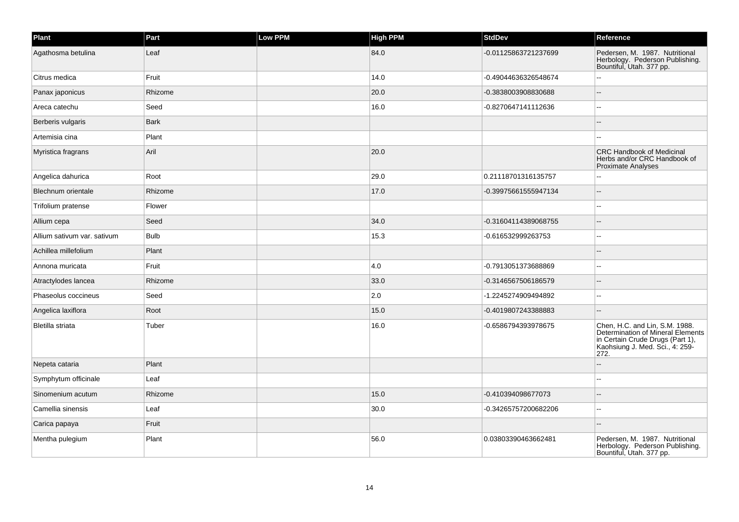| Plant                       | Part        | Low PPM | <b>High PPM</b> | <b>StdDev</b>        | Reference                                                                                                                                          |
|-----------------------------|-------------|---------|-----------------|----------------------|----------------------------------------------------------------------------------------------------------------------------------------------------|
| Agathosma betulina          | Leaf        |         | 84.0            | -0.01125863721237699 | Pedersen, M. 1987. Nutritional<br>Herbology. Pederson Publishing.<br>Bountiful, Utah. 377 pp.                                                      |
| Citrus medica               | Fruit       |         | 14.0            | -0.49044636326548674 |                                                                                                                                                    |
| Panax japonicus             | Rhizome     |         | 20.0            | -0.3838003908830688  |                                                                                                                                                    |
| Areca catechu               | Seed        |         | 16.0            | -0.8270647141112636  |                                                                                                                                                    |
| Berberis vulgaris           | <b>Bark</b> |         |                 |                      |                                                                                                                                                    |
| Artemisia cina              | Plant       |         |                 |                      |                                                                                                                                                    |
| Myristica fragrans          | Aril        |         | 20.0            |                      | <b>CRC Handbook of Medicinal</b><br>Herbs and/or CRC Handbook of<br><b>Proximate Analyses</b>                                                      |
| Angelica dahurica           | Root        |         | 29.0            | 0.21118701316135757  |                                                                                                                                                    |
| Blechnum orientale          | Rhizome     |         | 17.0            | -0.39975661555947134 |                                                                                                                                                    |
| Trifolium pratense          | Flower      |         |                 |                      |                                                                                                                                                    |
| Allium cepa                 | Seed        |         | 34.0            | -0.31604114389068755 |                                                                                                                                                    |
| Allium sativum var. sativum | <b>Bulb</b> |         | 15.3            | -0.616532999263753   |                                                                                                                                                    |
| Achillea millefolium        | Plant       |         |                 |                      |                                                                                                                                                    |
| Annona muricata             | Fruit       |         | 4.0             | -0.7913051373688869  |                                                                                                                                                    |
| Atractylodes lancea         | Rhizome     |         | 33.0            | -0.3146567506186579  |                                                                                                                                                    |
| Phaseolus coccineus         | Seed        |         | 2.0             | -1.2245274909494892  |                                                                                                                                                    |
| Angelica laxiflora          | Root        |         | 15.0            | -0.4019807243388883  |                                                                                                                                                    |
| Bletilla striata            | Tuber       |         | 16.0            | -0.6586794393978675  | Chen, H.C. and Lin, S.M. 1988.<br>Determination of Mineral Elements<br>in Certain Crude Drugs (Part 1),<br>Kaohsiung J. Med. Sci., 4: 259-<br>272. |
| Nepeta cataria              | Plant       |         |                 |                      |                                                                                                                                                    |
| Symphytum officinale        | Leaf        |         |                 |                      |                                                                                                                                                    |
| Sinomenium acutum           | Rhizome     |         | 15.0            | -0.410394098677073   |                                                                                                                                                    |
| Camellia sinensis           | Leaf        |         | 30.0            | -0.34265757200682206 |                                                                                                                                                    |
| Carica papaya               | Fruit       |         |                 |                      |                                                                                                                                                    |
| Mentha pulegium             | Plant       |         | 56.0            | 0.03803390463662481  | Pedersen, M. 1987. Nutritional<br>Herbology. Pederson Publishing.<br>Bountiful, Utah. 377 pp.                                                      |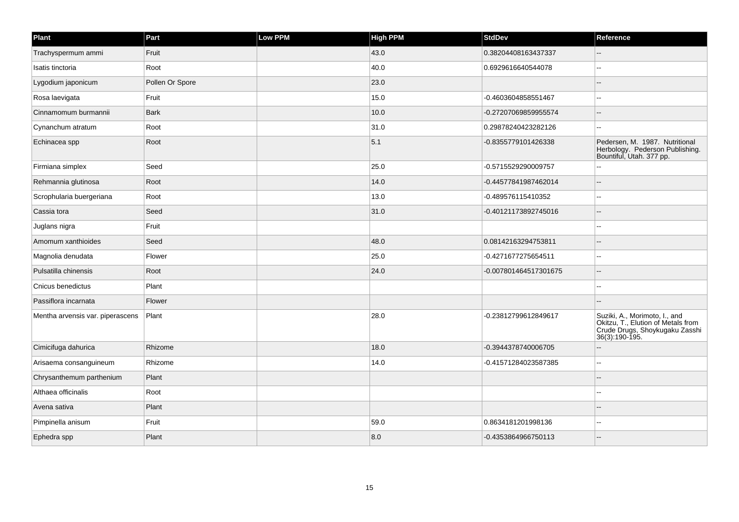| Plant                            | Part            | Low PPM | <b>High PPM</b> | <b>StdDev</b>         | Reference                                                                                                               |
|----------------------------------|-----------------|---------|-----------------|-----------------------|-------------------------------------------------------------------------------------------------------------------------|
| Trachyspermum ammi               | Fruit           |         | 43.0            | 0.38204408163437337   |                                                                                                                         |
| Isatis tinctoria                 | Root            |         | 40.0            | 0.6929616640544078    |                                                                                                                         |
| Lygodium japonicum               | Pollen Or Spore |         | 23.0            |                       |                                                                                                                         |
| Rosa laevigata                   | Fruit           |         | 15.0            | -0.4603604858551467   |                                                                                                                         |
| Cinnamomum burmannii             | <b>Bark</b>     |         | 10.0            | -0.27207069859955574  |                                                                                                                         |
| Cynanchum atratum                | Root            |         | 31.0            | 0.29878240423282126   |                                                                                                                         |
| Echinacea spp                    | Root            |         | 5.1             | -0.8355779101426338   | Pedersen, M. 1987. Nutritional<br>Herbology. Pederson Publishing.<br>Bountiful, Utah. 377 pp.                           |
| Firmiana simplex                 | Seed            |         | 25.0            | -0.5715529290009757   |                                                                                                                         |
| Rehmannia glutinosa              | Root            |         | 14.0            | -0.44577841987462014  |                                                                                                                         |
| Scrophularia buergeriana         | Root            |         | 13.0            | -0.489576115410352    |                                                                                                                         |
| Cassia tora                      | Seed            |         | 31.0            | -0.40121173892745016  |                                                                                                                         |
| Juglans nigra                    | Fruit           |         |                 |                       |                                                                                                                         |
| Amomum xanthioides               | Seed            |         | 48.0            | 0.08142163294753811   |                                                                                                                         |
| Magnolia denudata                | Flower          |         | 25.0            | -0.4271677275654511   | ۵.                                                                                                                      |
| Pulsatilla chinensis             | Root            |         | 24.0            | -0.007801464517301675 |                                                                                                                         |
| Cnicus benedictus                | Plant           |         |                 |                       |                                                                                                                         |
| Passiflora incarnata             | Flower          |         |                 |                       |                                                                                                                         |
| Mentha arvensis var. piperascens | Plant           |         | 28.0            | -0.23812799612849617  | Suziki, A., Morimoto, I., and<br>Okitzu, T., Elution of Metals from<br>Crude Drugs, Shoykugaku Zasshi<br>36(3):190-195. |
| Cimicifuga dahurica              | Rhizome         |         | 18.0            | -0.3944378740006705   |                                                                                                                         |
| Arisaema consanguineum           | Rhizome         |         | 14.0            | -0.41571284023587385  | $\overline{a}$                                                                                                          |
| Chrysanthemum parthenium         | Plant           |         |                 |                       |                                                                                                                         |
| Althaea officinalis              | Root            |         |                 |                       |                                                                                                                         |
| Avena sativa                     | Plant           |         |                 |                       |                                                                                                                         |
| Pimpinella anisum                | Fruit           |         | 59.0            | 0.8634181201998136    |                                                                                                                         |
| Ephedra spp                      | Plant           |         | 8.0             | -0.4353864966750113   |                                                                                                                         |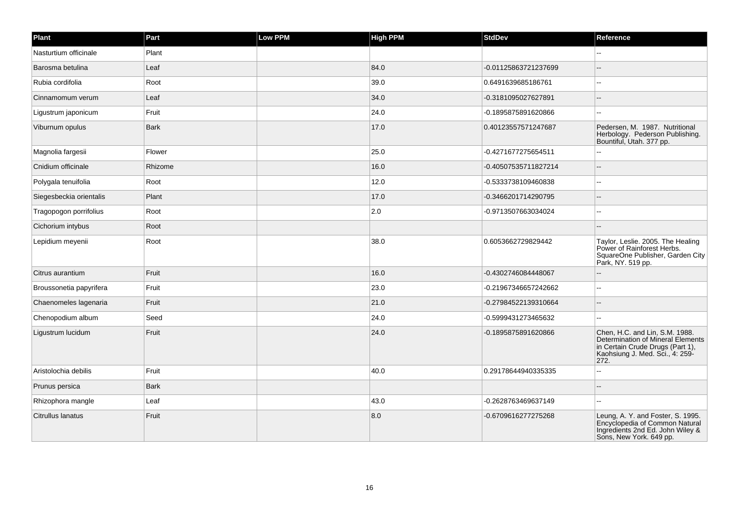| Plant                   | Part        | <b>Low PPM</b> | <b>High PPM</b> | <b>StdDev</b>        | Reference                                                                                                                                          |
|-------------------------|-------------|----------------|-----------------|----------------------|----------------------------------------------------------------------------------------------------------------------------------------------------|
| Nasturtium officinale   | Plant       |                |                 |                      | $\sim$                                                                                                                                             |
| Barosma betulina        | Leaf        |                | 84.0            | -0.01125863721237699 |                                                                                                                                                    |
| Rubia cordifolia        | Root        |                | 39.0            | 0.6491639685186761   | $\sim$                                                                                                                                             |
| Cinnamomum verum        | Leaf        |                | 34.0            | -0.3181095027627891  | $\sim$                                                                                                                                             |
| Ligustrum japonicum     | Fruit       |                | 24.0            | -0.1895875891620866  | ۵.                                                                                                                                                 |
| Viburnum opulus         | <b>Bark</b> |                | 17.0            | 0.40123557571247687  | Pedersen, M. 1987. Nutritional<br>Herbology. Pederson Publishing.<br>Bountiful, Utah. 377 pp.                                                      |
| Magnolia fargesii       | Flower      |                | 25.0            | -0.4271677275654511  | $\sim$                                                                                                                                             |
| Cnidium officinale      | Rhizome     |                | 16.0            | -0.40507535711827214 |                                                                                                                                                    |
| Polygala tenuifolia     | Root        |                | 12.0            | -0.5333738109460838  | $\sim$                                                                                                                                             |
| Siegesbeckia orientalis | Plant       |                | 17.0            | -0.3466201714290795  | $\sim$                                                                                                                                             |
| Tragopogon porrifolius  | Root        |                | 2.0             | -0.9713507663034024  |                                                                                                                                                    |
| Cichorium intybus       | Root        |                |                 |                      |                                                                                                                                                    |
| Lepidium meyenii        | Root        |                | 38.0            | 0.6053662729829442   | Taylor, Leslie. 2005. The Healing<br>Power of Rainforest Herbs.<br>SquareOne Publisher, Garden City<br>Park, NY. 519 pp.                           |
| Citrus aurantium        | Fruit       |                | 16.0            | -0.4302746084448067  | $\sim$                                                                                                                                             |
| Broussonetia papyrifera | Fruit       |                | 23.0            | -0.21967346657242662 |                                                                                                                                                    |
| Chaenomeles lagenaria   | Fruit       |                | 21.0            | -0.27984522139310664 | $\sim$                                                                                                                                             |
| Chenopodium album       | Seed        |                | 24.0            | -0.5999431273465632  | $\sim$                                                                                                                                             |
| Ligustrum lucidum       | Fruit       |                | 24.0            | -0.1895875891620866  | Chen, H.C. and Lin, S.M. 1988.<br>Determination of Mineral Elements<br>in Certain Crude Drugs (Part 1),<br>Kaohsiung J. Med. Sci., 4: 259-<br>272. |
| Aristolochia debilis    | Fruit       |                | 40.0            | 0.29178644940335335  | ۵.                                                                                                                                                 |
| Prunus persica          | <b>Bark</b> |                |                 |                      |                                                                                                                                                    |
| Rhizophora mangle       | Leaf        |                | 43.0            | -0.2628763469637149  | $\sim$ $\sim$                                                                                                                                      |
| Citrullus lanatus       | Fruit       |                | 8.0             | -0.6709616277275268  | Leung, A. Y. and Foster, S. 1995.<br>Encyclopedia of Common Natural<br>Ingredients 2nd Ed. John Wiley &<br>Sons, New York. 649 pp.                 |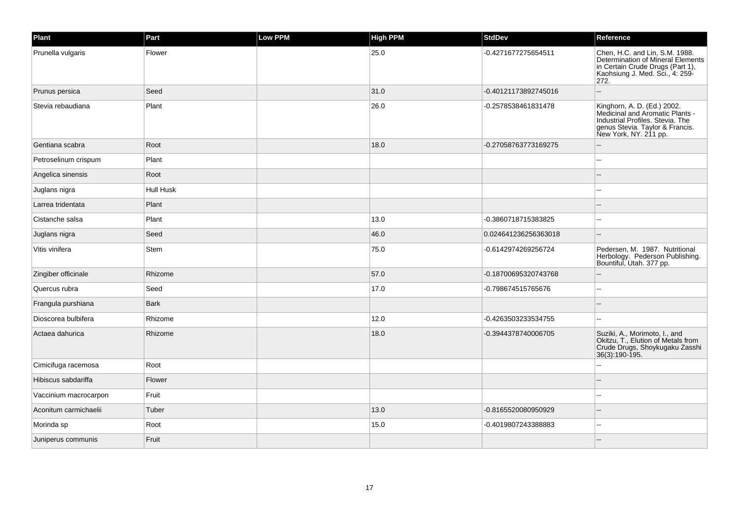| Plant                 | Part        | <b>Low PPM</b> | High PPM | <b>StdDev</b>        | Reference                                                                                                                                                      |
|-----------------------|-------------|----------------|----------|----------------------|----------------------------------------------------------------------------------------------------------------------------------------------------------------|
| Prunella vulgaris     | Flower      |                | 25.0     | -0.4271677275654511  | Chen, H.C. and Lin, S.M. 1988.<br>Determination of Mineral Elements<br>in Certain Crude Drugs (Part 1),<br>Kaohsiung J. Med. Sci., 4: 259-<br>272.             |
| Prunus persica        | Seed        |                | 31.0     | -0.40121173892745016 |                                                                                                                                                                |
| Stevia rebaudiana     | Plant       |                | 26.0     | -0.2578538461831478  | Kinghorn, A. D. (Ed.) 2002.<br>Medicinal and Aromatic Plants -<br>Industrial Profiles, Stevia, The<br>genus Stevia. Taylor & Francis.<br>New York, NY. 211 pp. |
| Gentiana scabra       | Root        |                | 18.0     | -0.27058763773169275 |                                                                                                                                                                |
| Petroselinum crispum  | Plant       |                |          |                      |                                                                                                                                                                |
| Angelica sinensis     | Root        |                |          |                      |                                                                                                                                                                |
| Juglans nigra         | Hull Husk   |                |          |                      |                                                                                                                                                                |
| Larrea tridentata     | Plant       |                |          |                      |                                                                                                                                                                |
| Cistanche salsa       | Plant       |                | 13.0     | -0.3860718715383825  |                                                                                                                                                                |
| Juglans nigra         | Seed        |                | 46.0     | 0.024641236256363018 | $\sim$                                                                                                                                                         |
| Vitis vinifera        | Stem        |                | 75.0     | -0.6142974269256724  | Pedersen, M. 1987. Nutritional<br>Herbology. Pederson Publishing.<br>Bountiful, Utah. 377 pp.                                                                  |
| Zingiber officinale   | Rhizome     |                | 57.0     | -0.18700695320743768 | $\sim$                                                                                                                                                         |
| Quercus rubra         | Seed        |                | 17.0     | -0.798674515765676   |                                                                                                                                                                |
| Frangula purshiana    | <b>Bark</b> |                |          |                      |                                                                                                                                                                |
| Dioscorea bulbifera   | Rhizome     |                | 12.0     | -0.4263503233534755  | $\sim$                                                                                                                                                         |
| Actaea dahurica       | Rhizome     |                | 18.0     | -0.3944378740006705  | Suziki, A., Morimoto, I., and<br>Okitzu, T., Elution of Metals from<br>Crude Drugs, Shoykugaku Zasshi<br>36(3):190-195.                                        |
| Cimicifuga racemosa   | Root        |                |          |                      |                                                                                                                                                                |
| Hibiscus sabdariffa   | Flower      |                |          |                      |                                                                                                                                                                |
| Vaccinium macrocarpon | Fruit       |                |          |                      |                                                                                                                                                                |
| Aconitum carmichaelii | Tuber       |                | 13.0     | -0.8165520080950929  |                                                                                                                                                                |
| Morinda sp            | Root        |                | 15.0     | -0.4019807243388883  | $\sim$                                                                                                                                                         |
| Juniperus communis    | Fruit       |                |          |                      |                                                                                                                                                                |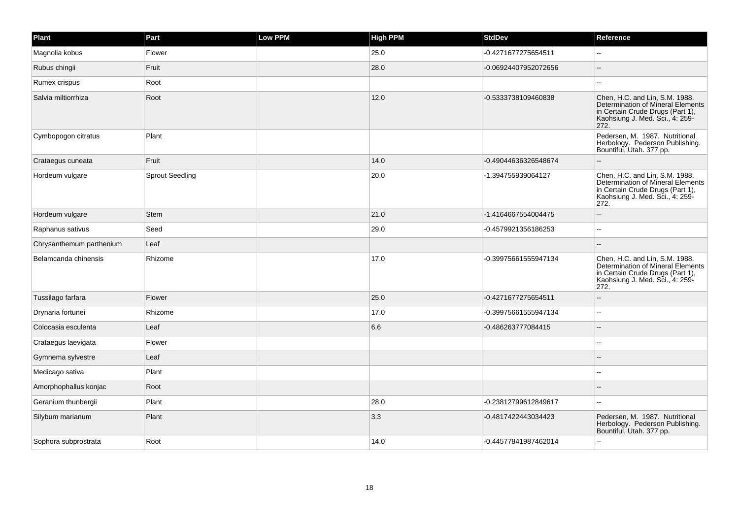| Plant                    | Part                   | <b>Low PPM</b> | <b>High PPM</b> | <b>StdDev</b>        | Reference                                                                                                                                          |
|--------------------------|------------------------|----------------|-----------------|----------------------|----------------------------------------------------------------------------------------------------------------------------------------------------|
| Magnolia kobus           | Flower                 |                | 25.0            | -0.4271677275654511  |                                                                                                                                                    |
| Rubus chingii            | Fruit                  |                | 28.0            | -0.06924407952072656 | $\overline{a}$                                                                                                                                     |
| Rumex crispus            | Root                   |                |                 |                      |                                                                                                                                                    |
| Salvia miltiorrhiza      | Root                   |                | $12.0$          | -0.5333738109460838  | Chen, H.C. and Lin, S.M. 1988.<br>Determination of Mineral Elements<br>in Certain Crude Drugs (Part 1),<br>Kaohsiung J. Med. Sci., 4: 259-<br>272. |
| Cymbopogon citratus      | Plant                  |                |                 |                      | Pedersen, M. 1987. Nutritional<br>Herbology. Pederson Publishing.<br>Bountiful, Utah. 377 pp.                                                      |
| Crataegus cuneata        | Fruit                  |                | 14.0            | -0.49044636326548674 |                                                                                                                                                    |
| Hordeum vulgare          | <b>Sprout Seedling</b> |                | 20.0            | -1.394755939064127   | Chen, H.C. and Lin, S.M. 1988.<br>Determination of Mineral Elements<br>in Certain Crude Drugs (Part 1),<br>Kaohsiung J. Med. Sci., 4: 259-<br>272. |
| Hordeum vulgare          | <b>Stem</b>            |                | 21.0            | -1.4164667554004475  |                                                                                                                                                    |
| Raphanus sativus         | Seed                   |                | 29.0            | -0.4579921356186253  |                                                                                                                                                    |
| Chrysanthemum parthenium | Leaf                   |                |                 |                      |                                                                                                                                                    |
| Belamcanda chinensis     | Rhizome                |                | 17.0            | -0.39975661555947134 | Chen, H.C. and Lin, S.M. 1988.<br>Determination of Mineral Elements<br>in Certain Crude Drugs (Part 1),<br>Kaohsiung J. Med. Sci., 4: 259-<br>272. |
| Tussilago farfara        | Flower                 |                | 25.0            | -0.4271677275654511  |                                                                                                                                                    |
| Drynaria fortunei        | Rhizome                |                | 17.0            | -0.39975661555947134 | $\sim$                                                                                                                                             |
| Colocasia esculenta      | Leaf                   |                | 6.6             | -0.486263777084415   |                                                                                                                                                    |
| Crataegus laevigata      | Flower                 |                |                 |                      |                                                                                                                                                    |
| Gymnema sylvestre        | Leaf                   |                |                 |                      |                                                                                                                                                    |
| Medicago sativa          | Plant                  |                |                 |                      |                                                                                                                                                    |
| Amorphophallus konjac    | Root                   |                |                 |                      |                                                                                                                                                    |
| Geranium thunbergii      | Plant                  |                | 28.0            | -0.23812799612849617 | $\overline{a}$                                                                                                                                     |
| Silybum marianum         | Plant                  |                | 3.3             | -0.4817422443034423  | Pedersen, M. 1987. Nutritional<br>Herbology. Pederson Publishing.<br>Bountiful, Utah. 377 pp.                                                      |
| Sophora subprostrata     | Root                   |                | 14.0            | -0.44577841987462014 |                                                                                                                                                    |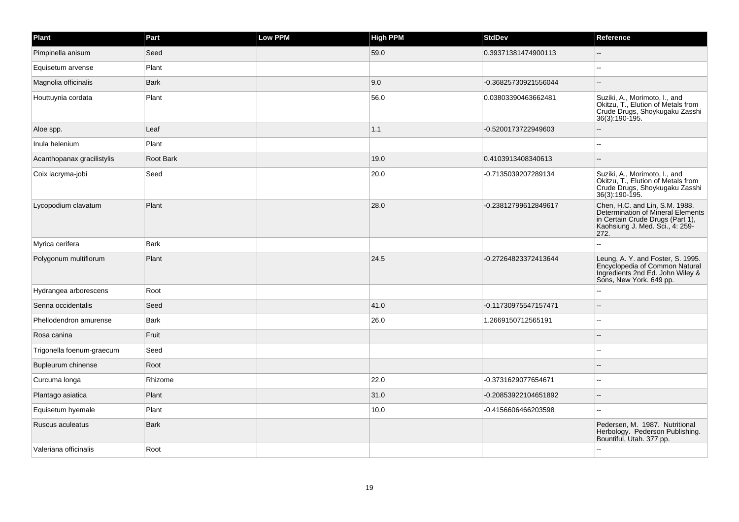| Plant                      | Part        | <b>Low PPM</b> | <b>High PPM</b> | <b>StdDev</b>        | Reference                                                                                                                                                 |
|----------------------------|-------------|----------------|-----------------|----------------------|-----------------------------------------------------------------------------------------------------------------------------------------------------------|
| Pimpinella anisum          | Seed        |                | 59.0            | 0.39371381474900113  |                                                                                                                                                           |
| Equisetum arvense          | Plant       |                |                 |                      |                                                                                                                                                           |
| Magnolia officinalis       | <b>Bark</b> |                | 9.0             | -0.36825730921556044 |                                                                                                                                                           |
| Houttuynia cordata         | Plant       |                | 56.0            | 0.03803390463662481  | Suziki, A., Morimoto, I., and<br>Okitzu, T., Elution of Metals from<br>Crude Drugs, Shoykugaku Zasshi<br>36(3):190-195.                                   |
| Aloe spp.                  | Leaf        |                | 1.1             | -0.5200173722949603  |                                                                                                                                                           |
| Inula helenium             | Plant       |                |                 |                      |                                                                                                                                                           |
| Acanthopanax gracilistylis | Root Bark   |                | 19.0            | 0.4103913408340613   |                                                                                                                                                           |
| Coix lacryma-jobi          | Seed        |                | 20.0            | -0.7135039207289134  | Suziki, A., Morimoto, I., and<br>Okitzu, T., Elution of Metals from<br>Crude Drugs, Shoykugaku Zasshi<br>36(3):190-195.                                   |
| Lycopodium clavatum        | Plant       |                | 28.0            | -0.23812799612849617 | Chen, H.C. and Lin, S.M. 1988.<br><b>Determination of Mineral Elements</b><br>in Certain Crude Drugs (Part 1),<br>Kaohsiung J. Med. Sci., 4: 259-<br>272. |
| Myrica cerifera            | <b>Bark</b> |                |                 |                      |                                                                                                                                                           |
| Polygonum multiflorum      | Plant       |                | 24.5            | -0.27264823372413644 | Leung, A. Y. and Foster, S. 1995.<br>Encyclopedia of Common Natural<br>Ingredients 2nd Ed. John Wiley &<br>Sons, New York. 649 pp.                        |
| Hydrangea arborescens      | Root        |                |                 |                      |                                                                                                                                                           |
| Senna occidentalis         | Seed        |                | 41.0            | -0.11730975547157471 |                                                                                                                                                           |
| Phellodendron amurense     | <b>Bark</b> |                | 26.0            | 1.2669150712565191   |                                                                                                                                                           |
| Rosa canina                | Fruit       |                |                 |                      |                                                                                                                                                           |
| Trigonella foenum-graecum  | Seed        |                |                 |                      | $\overline{a}$                                                                                                                                            |
| Bupleurum chinense         | Root        |                |                 |                      |                                                                                                                                                           |
| Curcuma longa              | Rhizome     |                | 22.0            | -0.3731629077654671  | --                                                                                                                                                        |
| Plantago asiatica          | Plant       |                | 31.0            | -0.20853922104651892 |                                                                                                                                                           |
| Equisetum hyemale          | Plant       |                | 10.0            | -0.4156606466203598  | $\overline{a}$                                                                                                                                            |
| Ruscus aculeatus           | <b>Bark</b> |                |                 |                      | Pedersen, M. 1987. Nutritional<br>Herbology. Pederson Publishing.<br>Bountiful, Utah. 377 pp.                                                             |
| Valeriana officinalis      | Root        |                |                 |                      |                                                                                                                                                           |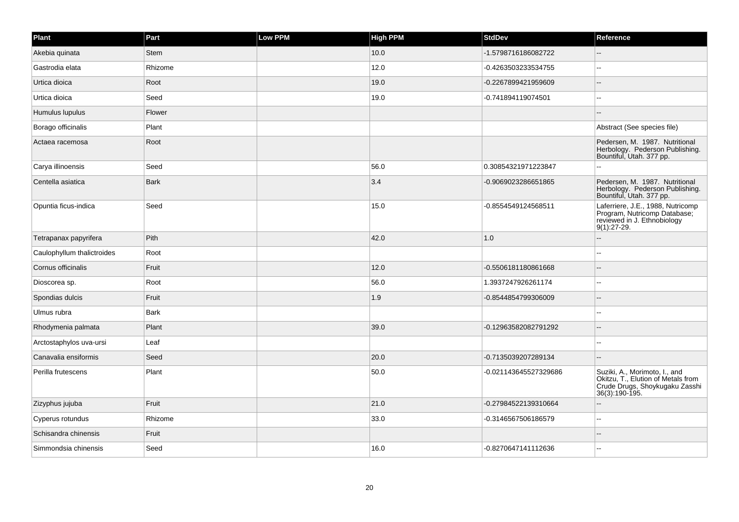| Plant                      | Part        | <b>Low PPM</b> | <b>High PPM</b> | <b>StdDev</b>         | Reference                                                                                                               |
|----------------------------|-------------|----------------|-----------------|-----------------------|-------------------------------------------------------------------------------------------------------------------------|
| Akebia quinata             | Stem        |                | 10.0            | -1.5798716186082722   |                                                                                                                         |
| Gastrodia elata            | Rhizome     |                | 12.0            | -0.4263503233534755   |                                                                                                                         |
| Urtica dioica              | Root        |                | 19.0            | -0.2267899421959609   |                                                                                                                         |
| Urtica dioica              | Seed        |                | 19.0            | -0.741894119074501    |                                                                                                                         |
| Humulus lupulus            | Flower      |                |                 |                       |                                                                                                                         |
| Borago officinalis         | Plant       |                |                 |                       | Abstract (See species file)                                                                                             |
| Actaea racemosa            | Root        |                |                 |                       | Pedersen, M. 1987. Nutritional<br>Herbology. Pederson Publishing.<br>Bountiful, Utah. 377 pp.                           |
| Carya illinoensis          | Seed        |                | 56.0            | 0.30854321971223847   |                                                                                                                         |
| Centella asiatica          | <b>Bark</b> |                | 3.4             | -0.9069023286651865   | Pedersen, M. 1987. Nutritional<br>Herbology. Pederson Publishing.<br>Bountiful, Utah. 377 pp.                           |
| Opuntia ficus-indica       | Seed        |                | 15.0            | -0.8554549124568511   | Laferriere, J.E., 1988, Nutricomp<br>Program, Nutricomp Database;<br>reviewed in J. Ethnobiology<br>$9(1):27-29.$       |
| Tetrapanax papyrifera      | Pith        |                | 42.0            | 1.0                   |                                                                                                                         |
| Caulophyllum thalictroides | Root        |                |                 |                       |                                                                                                                         |
| Cornus officinalis         | Fruit       |                | 12.0            | -0.5506181180861668   |                                                                                                                         |
| Dioscorea sp.              | Root        |                | 56.0            | 1.3937247926261174    |                                                                                                                         |
| Spondias dulcis            | Fruit       |                | 1.9             | -0.8544854799306009   |                                                                                                                         |
| Ulmus rubra                | <b>Bark</b> |                |                 |                       |                                                                                                                         |
| Rhodymenia palmata         | Plant       |                | 39.0            | -0.12963582082791292  |                                                                                                                         |
| Arctostaphylos uva-ursi    | Leaf        |                |                 |                       | $\overline{a}$                                                                                                          |
| Canavalia ensiformis       | Seed        |                | 20.0            | -0.7135039207289134   |                                                                                                                         |
| Perilla frutescens         | Plant       |                | 50.0            | -0.021143645527329686 | Suziki, A., Morimoto, I., and<br>Okitzu, T., Elution of Metals from<br>Crude Drugs, Shoykugaku Zasshi<br>36(3):190-195. |
| Zizyphus jujuba            | Fruit       |                | 21.0            | -0.27984522139310664  |                                                                                                                         |
| Cyperus rotundus           | Rhizome     |                | 33.0            | -0.3146567506186579   |                                                                                                                         |
| Schisandra chinensis       | Fruit       |                |                 |                       |                                                                                                                         |
| Simmondsia chinensis       | Seed        |                | 16.0            | -0.8270647141112636   |                                                                                                                         |